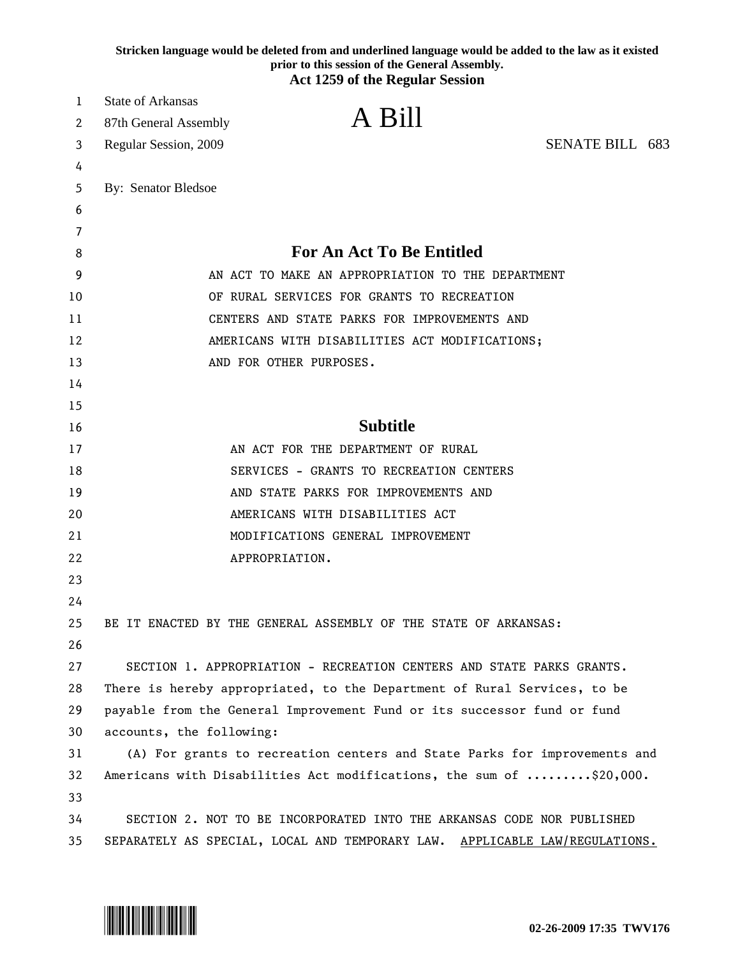|    | Stricken language would be deleted from and underlined language would be added to the law as it existed<br>prior to this session of the General Assembly.<br><b>Act 1259 of the Regular Session</b> |
|----|-----------------------------------------------------------------------------------------------------------------------------------------------------------------------------------------------------|
| 1  | <b>State of Arkansas</b>                                                                                                                                                                            |
| 2  | A Bill<br>87th General Assembly                                                                                                                                                                     |
| 3  | SENATE BILL 683<br>Regular Session, 2009                                                                                                                                                            |
| 4  |                                                                                                                                                                                                     |
| 5  | <b>By: Senator Bledsoe</b>                                                                                                                                                                          |
| 6  |                                                                                                                                                                                                     |
| 7  |                                                                                                                                                                                                     |
| 8  | <b>For An Act To Be Entitled</b>                                                                                                                                                                    |
| 9  | AN ACT TO MAKE AN APPROPRIATION TO THE DEPARTMENT                                                                                                                                                   |
| 10 | OF RURAL SERVICES FOR GRANTS TO RECREATION                                                                                                                                                          |
| 11 | CENTERS AND STATE PARKS FOR IMPROVEMENTS AND                                                                                                                                                        |
| 12 | AMERICANS WITH DISABILITIES ACT MODIFICATIONS;                                                                                                                                                      |
| 13 | AND FOR OTHER PURPOSES.                                                                                                                                                                             |
| 14 |                                                                                                                                                                                                     |
| 15 |                                                                                                                                                                                                     |
| 16 | <b>Subtitle</b>                                                                                                                                                                                     |
| 17 | AN ACT FOR THE DEPARTMENT OF RURAL                                                                                                                                                                  |
| 18 | SERVICES - GRANTS TO RECREATION CENTERS                                                                                                                                                             |
| 19 | AND STATE PARKS FOR IMPROVEMENTS AND                                                                                                                                                                |
| 20 | AMERICANS WITH DISABILITIES ACT                                                                                                                                                                     |
| 21 | MODIFICATIONS GENERAL IMPROVEMENT                                                                                                                                                                   |
| 22 | APPROPRIATION.                                                                                                                                                                                      |
| 23 |                                                                                                                                                                                                     |
| 24 |                                                                                                                                                                                                     |
| 25 | BE IT ENACTED BY THE GENERAL ASSEMBLY OF THE STATE OF ARKANSAS:                                                                                                                                     |
| 26 |                                                                                                                                                                                                     |
| 27 | SECTION 1. APPROPRIATION - RECREATION CENTERS AND STATE PARKS GRANTS.                                                                                                                               |
| 28 | There is hereby appropriated, to the Department of Rural Services, to be                                                                                                                            |
| 29 | payable from the General Improvement Fund or its successor fund or fund                                                                                                                             |
| 30 | accounts, the following:                                                                                                                                                                            |
| 31 | (A) For grants to recreation centers and State Parks for improvements and                                                                                                                           |
| 32 | Americans with Disabilities Act modifications, the sum of \$20,000.                                                                                                                                 |
| 33 |                                                                                                                                                                                                     |
| 34 | SECTION 2. NOT TO BE INCORPORATED INTO THE ARKANSAS CODE NOR PUBLISHED                                                                                                                              |
| 35 | SEPARATELY AS SPECIAL, LOCAL AND TEMPORARY LAW. APPLICABLE LAW/REGULATIONS.                                                                                                                         |

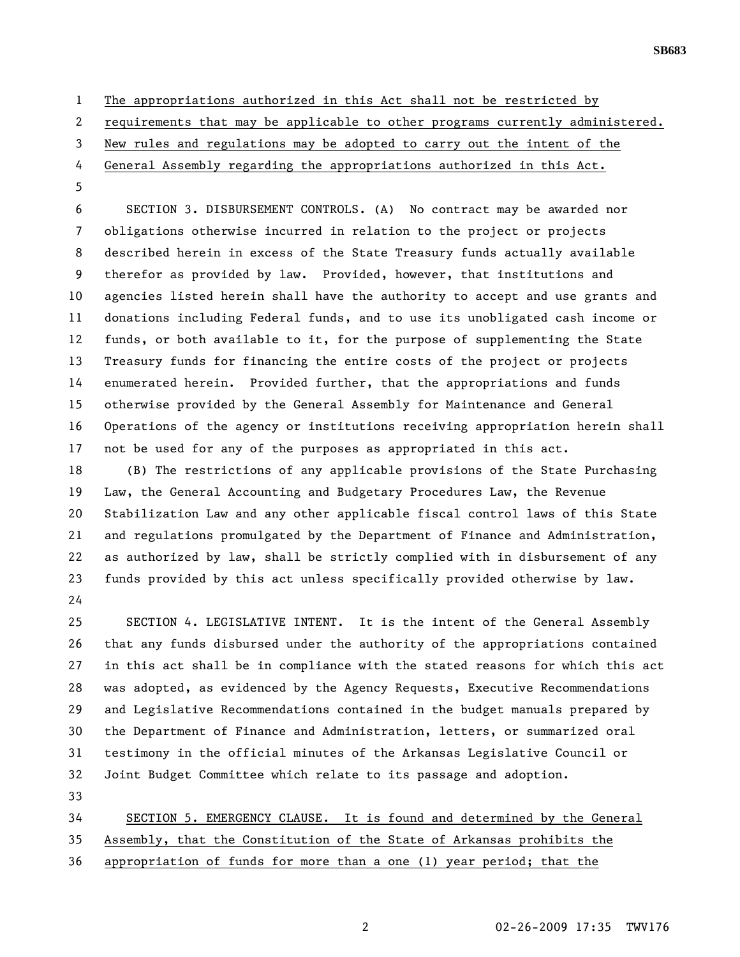**SB683** 

1 The appropriations authorized in this Act shall not be restricted by

2 requirements that may be applicable to other programs currently administered.

- 3 New rules and regulations may be adopted to carry out the intent of the
- 4 General Assembly regarding the appropriations authorized in this Act.
- 5

6 SECTION 3. DISBURSEMENT CONTROLS. (A) No contract may be awarded nor 7 obligations otherwise incurred in relation to the project or projects 8 described herein in excess of the State Treasury funds actually available 9 therefor as provided by law. Provided, however, that institutions and 10 agencies listed herein shall have the authority to accept and use grants and 11 donations including Federal funds, and to use its unobligated cash income or 12 funds, or both available to it, for the purpose of supplementing the State 13 Treasury funds for financing the entire costs of the project or projects 14 enumerated herein. Provided further, that the appropriations and funds 15 otherwise provided by the General Assembly for Maintenance and General 16 Operations of the agency or institutions receiving appropriation herein shall 17 not be used for any of the purposes as appropriated in this act.

18 (B) The restrictions of any applicable provisions of the State Purchasing 19 Law, the General Accounting and Budgetary Procedures Law, the Revenue 20 Stabilization Law and any other applicable fiscal control laws of this State 21 and regulations promulgated by the Department of Finance and Administration, 22 as authorized by law, shall be strictly complied with in disbursement of any 23 funds provided by this act unless specifically provided otherwise by law. 24

25 SECTION 4. LEGISLATIVE INTENT. It is the intent of the General Assembly 26 that any funds disbursed under the authority of the appropriations contained 27 in this act shall be in compliance with the stated reasons for which this act 28 was adopted, as evidenced by the Agency Requests, Executive Recommendations 29 and Legislative Recommendations contained in the budget manuals prepared by 30 the Department of Finance and Administration, letters, or summarized oral 31 testimony in the official minutes of the Arkansas Legislative Council or 32 Joint Budget Committee which relate to its passage and adoption.

33

34 SECTION 5. EMERGENCY CLAUSE. It is found and determined by the General 35 Assembly, that the Constitution of the State of Arkansas prohibits the 36 appropriation of funds for more than a one (1) year period; that the